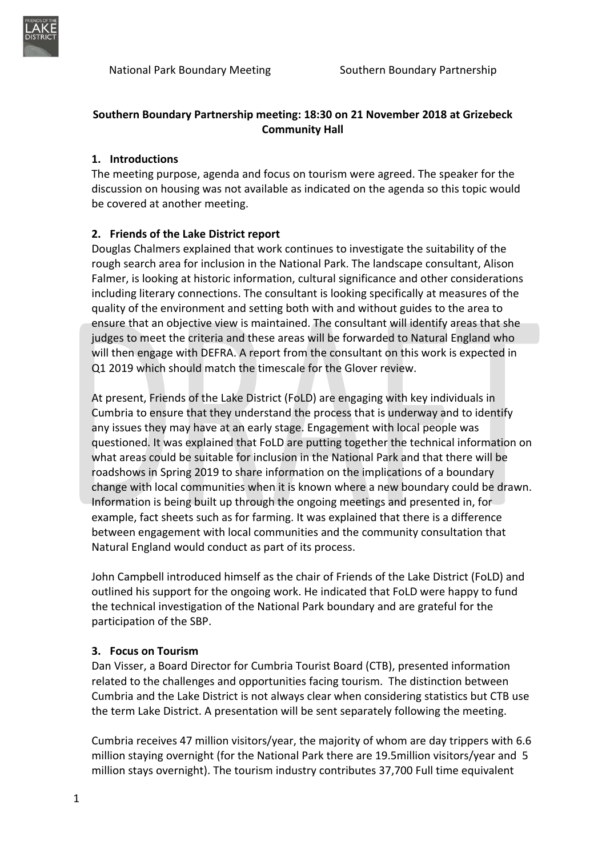

## **Southern Boundary Partnership meeting: 18:30 on 21 November 2018 at Grizebeck Community Hall**

#### **1. Introductions**

The meeting purpose, agenda and focus on tourism were agreed. The speaker for the discussion on housing was not available as indicated on the agenda so this topic would be covered at another meeting.

## **2. Friends of the Lake District report**

Douglas Chalmers explained that work continues to investigate the suitability of the rough search area for inclusion in the National Park. The landscape consultant, Alison Falmer, is looking at historic information, cultural significance and other considerations including literary connections. The consultant is looking specifically at measures of the quality of the environment and setting both with and without guides to the area to ensure that an objective view is maintained. The consultant will identify areas that she judges to meet the criteria and these areas will be forwarded to Natural England who will then engage with DEFRA. A report from the consultant on this work is expected in Q1 2019 which should match the timescale for the Glover review.

At present, Friends of the Lake District (FoLD) are engaging with key individuals in Cumbria to ensure that they understand the process that is underway and to identify any issues they may have at an early stage. Engagement with local people was questioned. It was explained that FoLD are putting together the technical information on what areas could be suitable for inclusion in the National Park and that there will be roadshows in Spring 2019 to share information on the implications of a boundary change with local communities when it is known where a new boundary could be drawn. Information is being built up through the ongoing meetings and presented in, for example, fact sheets such as for farming. It was explained that there is a difference between engagement with local communities and the community consultation that Natural England would conduct as part of its process.

John Campbell introduced himself as the chair of Friends of the Lake District (FoLD) and outlined his support for the ongoing work. He indicated that FoLD were happy to fund the technical investigation of the National Park boundary and are grateful for the participation of the SBP.

#### **3. Focus on Tourism**

Dan Visser, a Board Director for Cumbria Tourist Board (CTB), presented information related to the challenges and opportunities facing tourism. The distinction between Cumbria and the Lake District is not always clear when considering statistics but CTB use the term Lake District. A presentation will be sent separately following the meeting.

Cumbria receives 47 million visitors/year, the majority of whom are day trippers with 6.6 million staying overnight (for the National Park there are 19.5million visitors/year and 5 million stays overnight). The tourism industry contributes 37,700 Full time equivalent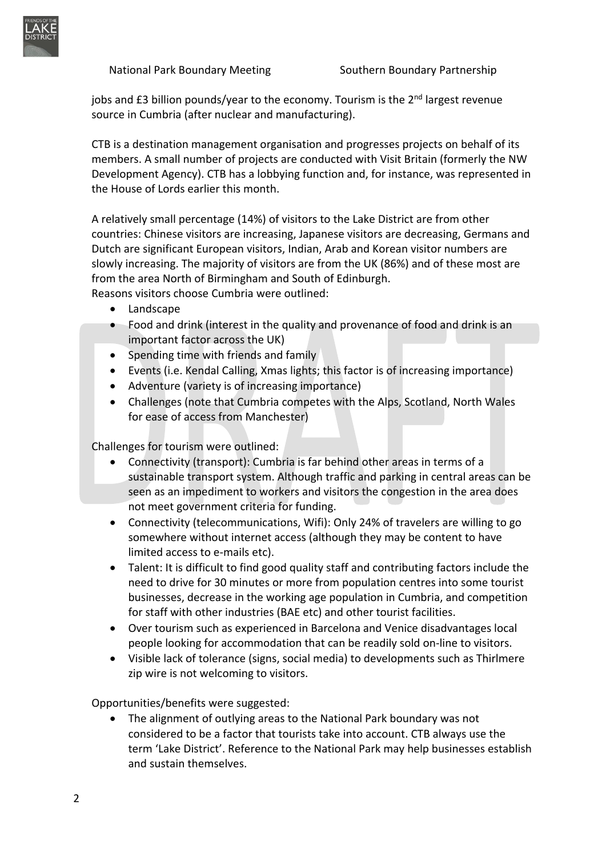

jobs and £3 billion pounds/year to the economy. Tourism is the 2<sup>nd</sup> largest revenue source in Cumbria (after nuclear and manufacturing).

CTB is a destination management organisation and progresses projects on behalf of its members. A small number of projects are conducted with Visit Britain (formerly the NW Development Agency). CTB has a lobbying function and, for instance, was represented in the House of Lords earlier this month.

A relatively small percentage (14%) of visitors to the Lake District are from other countries: Chinese visitors are increasing, Japanese visitors are decreasing, Germans and Dutch are significant European visitors, Indian, Arab and Korean visitor numbers are slowly increasing. The majority of visitors are from the UK (86%) and of these most are from the area North of Birmingham and South of Edinburgh.

Reasons visitors choose Cumbria were outlined:

- Landscape
- Food and drink (interest in the quality and provenance of food and drink is an important factor across the UK)
- Spending time with friends and family
- Events (i.e. Kendal Calling, Xmas lights; this factor is of increasing importance)
- Adventure (variety is of increasing importance)
- Challenges (note that Cumbria competes with the Alps, Scotland, North Wales for ease of access from Manchester)

Challenges for tourism were outlined:

- Connectivity (transport): Cumbria is far behind other areas in terms of a sustainable transport system. Although traffic and parking in central areas can be seen as an impediment to workers and visitors the congestion in the area does not meet government criteria for funding.
- Connectivity (telecommunications, Wifi): Only 24% of travelers are willing to go somewhere without internet access (although they may be content to have limited access to e-mails etc).
- Talent: It is difficult to find good quality staff and contributing factors include the need to drive for 30 minutes or more from population centres into some tourist businesses, decrease in the working age population in Cumbria, and competition for staff with other industries (BAE etc) and other tourist facilities.
- Over tourism such as experienced in Barcelona and Venice disadvantages local people looking for accommodation that can be readily sold on-line to visitors.
- Visible lack of tolerance (signs, social media) to developments such as Thirlmere zip wire is not welcoming to visitors.

Opportunities/benefits were suggested:

• The alignment of outlying areas to the National Park boundary was not considered to be a factor that tourists take into account. CTB always use the term 'Lake District'. Reference to the National Park may help businesses establish and sustain themselves.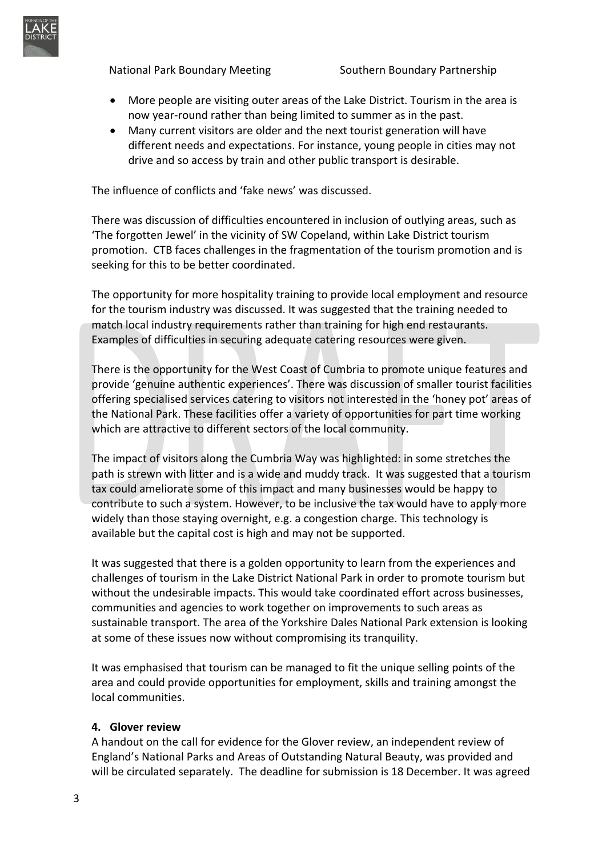

National Park Boundary Meeting Southern Boundary Partnership

- More people are visiting outer areas of the Lake District. Tourism in the area is now year-round rather than being limited to summer as in the past.
- Many current visitors are older and the next tourist generation will have different needs and expectations. For instance, young people in cities may not drive and so access by train and other public transport is desirable.

The influence of conflicts and 'fake news' was discussed.

There was discussion of difficulties encountered in inclusion of outlying areas, such as 'The forgotten Jewel' in the vicinity of SW Copeland, within Lake District tourism promotion. CTB faces challenges in the fragmentation of the tourism promotion and is seeking for this to be better coordinated.

The opportunity for more hospitality training to provide local employment and resource for the tourism industry was discussed. It was suggested that the training needed to match local industry requirements rather than training for high end restaurants. Examples of difficulties in securing adequate catering resources were given.

There is the opportunity for the West Coast of Cumbria to promote unique features and provide 'genuine authentic experiences'. There was discussion of smaller tourist facilities offering specialised services catering to visitors not interested in the 'honey pot' areas of the National Park. These facilities offer a variety of opportunities for part time working which are attractive to different sectors of the local community.

The impact of visitors along the Cumbria Way was highlighted: in some stretches the path is strewn with litter and is a wide and muddy track. It was suggested that a tourism tax could ameliorate some of this impact and many businesses would be happy to contribute to such a system. However, to be inclusive the tax would have to apply more widely than those staying overnight, e.g. a congestion charge. This technology is available but the capital cost is high and may not be supported.

It was suggested that there is a golden opportunity to learn from the experiences and challenges of tourism in the Lake District National Park in order to promote tourism but without the undesirable impacts. This would take coordinated effort across businesses, communities and agencies to work together on improvements to such areas as sustainable transport. The area of the Yorkshire Dales National Park extension is looking at some of these issues now without compromising its tranquility.

It was emphasised that tourism can be managed to fit the unique selling points of the area and could provide opportunities for employment, skills and training amongst the local communities.

#### **4. Glover review**

A handout on the call for evidence for the Glover review, an independent review of England's National Parks and Areas of Outstanding Natural Beauty, was provided and will be circulated separately. The deadline for submission is 18 December. It was agreed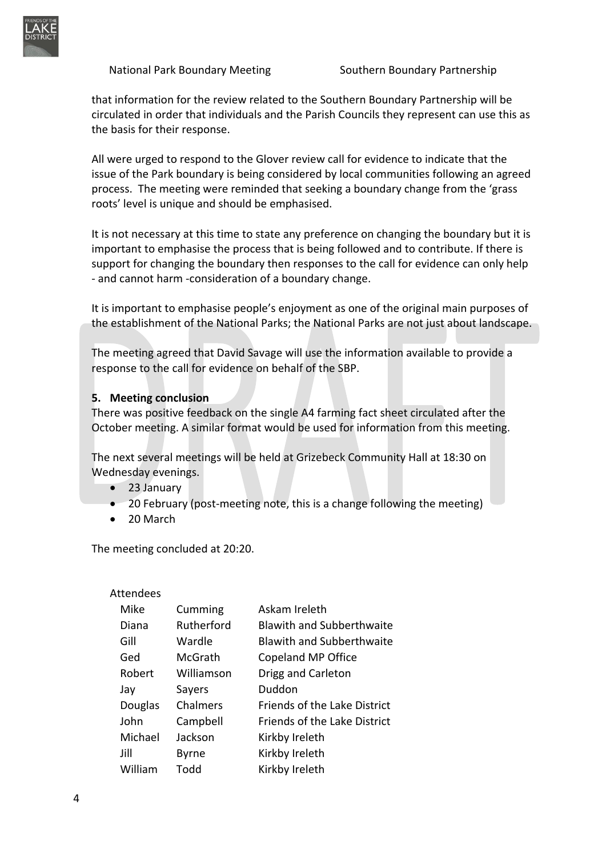

that information for the review related to the Southern Boundary Partnership will be circulated in order that individuals and the Parish Councils they represent can use this as the basis for their response.

All were urged to respond to the Glover review call for evidence to indicate that the issue of the Park boundary is being considered by local communities following an agreed process. The meeting were reminded that seeking a boundary change from the 'grass roots' level is unique and should be emphasised.

It is not necessary at this time to state any preference on changing the boundary but it is important to emphasise the process that is being followed and to contribute. If there is support for changing the boundary then responses to the call for evidence can only help - and cannot harm -consideration of a boundary change.

It is important to emphasise people's enjoyment as one of the original main purposes of the establishment of the National Parks; the National Parks are not just about landscape.

The meeting agreed that David Savage will use the information available to provide a response to the call for evidence on behalf of the SBP.

### **5. Meeting conclusion**

There was positive feedback on the single A4 farming fact sheet circulated after the October meeting. A similar format would be used for information from this meeting.

The next several meetings will be held at Grizebeck Community Hall at 18:30 on Wednesday evenings.

- 23 January
- 20 February (post-meeting note, this is a change following the meeting)
- 20 March

The meeting concluded at 20:20.

#### Attendees

| Mike           | Cumming      | Askam Ireleth                       |
|----------------|--------------|-------------------------------------|
| Diana          | Rutherford   | <b>Blawith and Subberthwaite</b>    |
| Gill           | Wardle       | <b>Blawith and Subberthwaite</b>    |
| Ged            | McGrath      | Copeland MP Office                  |
| Robert         | Williamson   | Drigg and Carleton                  |
| Jav            | Sayers       | Duddon                              |
| <b>Douglas</b> | Chalmers     | <b>Friends of the Lake District</b> |
| John           | Campbell     | Friends of the Lake District        |
| Michael        | Jackson      | Kirkby Ireleth                      |
| Jill           | <b>Byrne</b> | Kirkby Ireleth                      |
| William        | Todd         | Kirkby Ireleth                      |